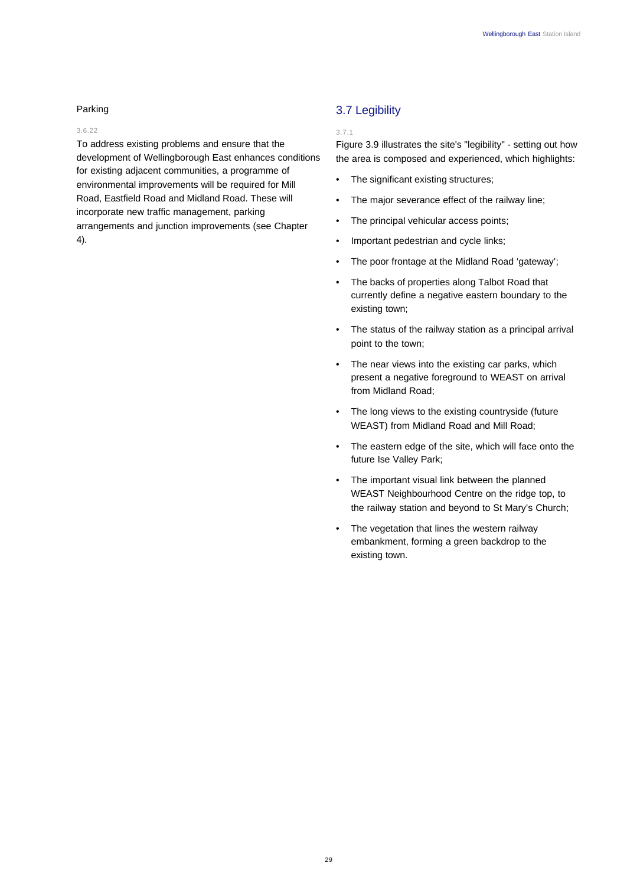## Parking

## 3.6.22

To address existing problems and ensure that the development of Wellingborough East enhances conditions for existing adjacent communities, a programme of environmental improvements will be required for Mill Road, Eastfield Road and Midland Road. These will incorporate new traffic management, parking arrangements and junction improvements (see Chapter 4).

# 3.7 Legibility

### 3.7.1

Figure 3.9 illustrates the site's "legibility" - setting out how the area is composed and experienced, which highlights:

- The significant existing structures;
- The major severance effect of the railway line;
- The principal vehicular access points;
- Important pedestrian and cycle links;
- The poor frontage at the Midland Road 'gateway';
- The backs of properties along Talbot Road that currently define a negative eastern boundary to the existing town;
- The status of the railway station as a principal arrival point to the town;
- The near views into the existing car parks, which present a negative foreground to WEAST on arrival from Midland Road;
- The long views to the existing countryside (future WEAST) from Midland Road and Mill Road;
- The eastern edge of the site, which will face onto the future Ise Valley Park;
- The important visual link between the planned WEAST Neighbourhood Centre on the ridge top, to the railway station and beyond to St Mary's Church;
- The vegetation that lines the western railway embankment, forming a green backdrop to the existing town.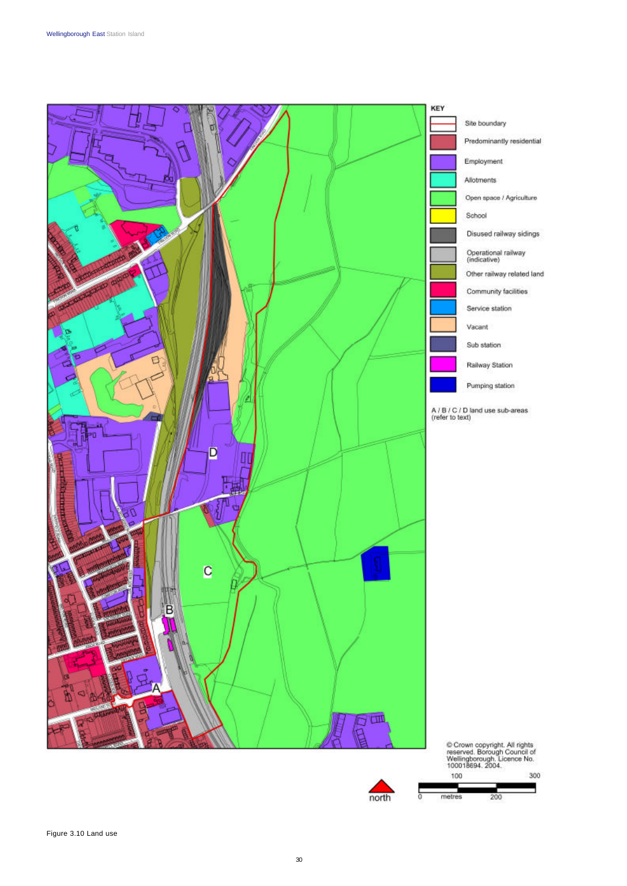

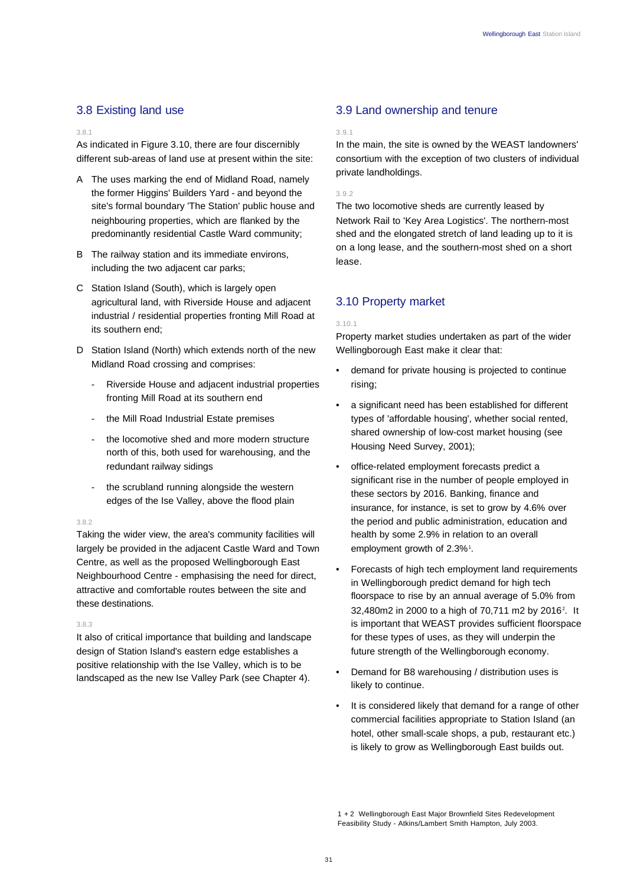# 3.8 Existing land use

### 3.8.1

As indicated in Figure 3.10, there are four discernibly different sub-areas of land use at present within the site:

- A The uses marking the end of Midland Road, namely the former Higgins' Builders Yard - and beyond the site's formal boundary 'The Station' public house and neighbouring properties, which are flanked by the predominantly residential Castle Ward community;
- B The railway station and its immediate environs, including the two adjacent car parks;
- C Station Island (South), which is largely open agricultural land, with Riverside House and adjacent industrial / residential properties fronting Mill Road at its southern end;
- D Station Island (North) which extends north of the new Midland Road crossing and comprises:
	- Riverside House and adjacent industrial properties fronting Mill Road at its southern end
	- the Mill Road Industrial Estate premises
	- the locomotive shed and more modern structure north of this, both used for warehousing, and the redundant railway sidings
	- the scrubland running alongside the western edges of the Ise Valley, above the flood plain

## 3.8.2

Taking the wider view, the area's community facilities will largely be provided in the adjacent Castle Ward and Town Centre, as well as the proposed Wellingborough East Neighbourhood Centre - emphasising the need for direct, attractive and comfortable routes between the site and these destinations.

## 3.8.3

It also of critical importance that building and landscape design of Station Island's eastern edge establishes a positive relationship with the Ise Valley, which is to be landscaped as the new Ise Valley Park (see Chapter 4).

# 3.9 Land ownership and tenure

### 3.9.1

In the main, the site is owned by the WEAST landowners' consortium with the exception of two clusters of individual private landholdings.

3.9.2

The two locomotive sheds are currently leased by Network Rail to 'Key Area Logistics'. The northern-most shed and the elongated stretch of land leading up to it is on a long lease, and the southern-most shed on a short lease.

# 3.10 Property market

#### 3.10.1

Property market studies undertaken as part of the wider Wellingborough East make it clear that:

- demand for private housing is projected to continue rising;
- a significant need has been established for different types of 'affordable housing', whether social rented, shared ownership of low-cost market housing (see Housing Need Survey, 2001);
- office-related employment forecasts predict a significant rise in the number of people employed in these sectors by 2016. Banking, finance and insurance, for instance, is set to grow by 4.6% over the period and public administration, education and health by some 2.9% in relation to an overall employment growth of 2.3%<sup>1</sup>.
- Forecasts of high tech employment land requirements in Wellingborough predict demand for high tech floorspace to rise by an annual average of 5.0% from 32,480m2 in 2000 to a high of 70,711 m2 by 2016<sup>2</sup>. It is important that WEAST provides sufficient floorspace for these types of uses, as they will underpin the future strength of the Wellingborough economy.
- Demand for B8 warehousing / distribution uses is likely to continue.
- It is considered likely that demand for a range of other commercial facilities appropriate to Station Island (an hotel, other small-scale shops, a pub, restaurant etc.) is likely to grow as Wellingborough East builds out.

1 + 2 Wellingborough East Major Brownfield Sites Redevelopment Feasibility Study - Atkins/Lambert Smith Hampton, July 2003.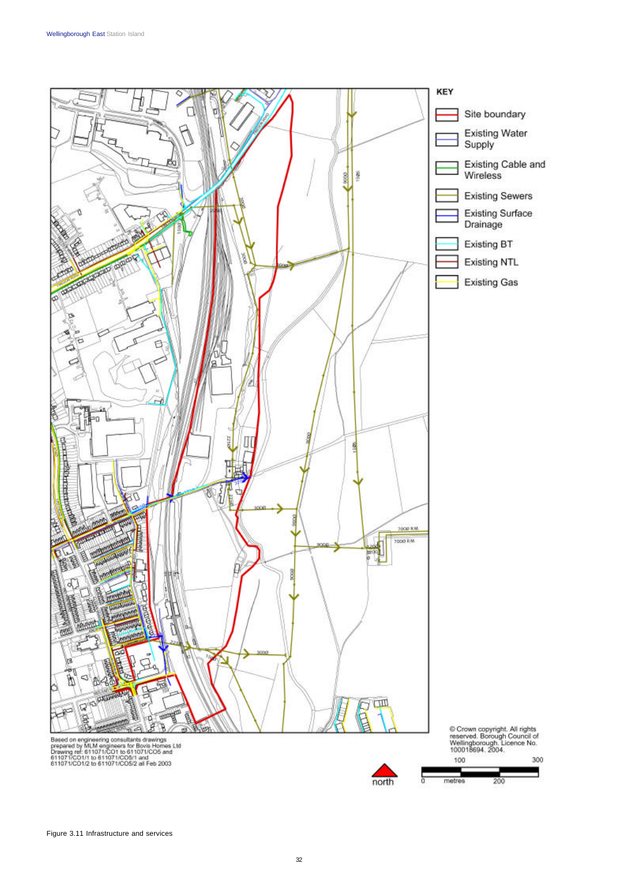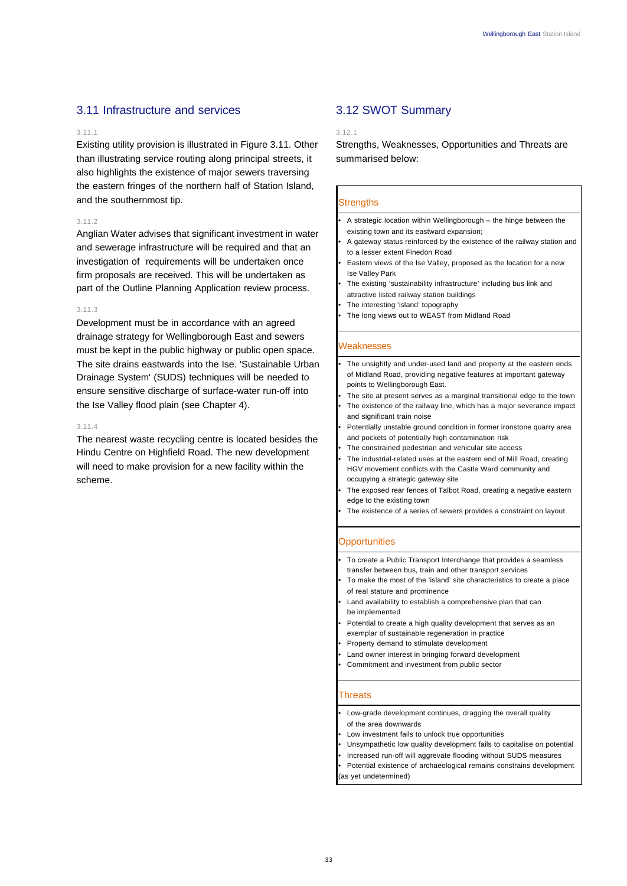## 3.11 Infrastructure and services

#### 3.11.1

Existing utility provision is illustrated in Figure 3.11. Other than illustrating service routing along principal streets, it also highlights the existence of major sewers traversing the eastern fringes of the northern half of Station Island, and the southernmost tip.

#### 3.11.2

Anglian Water advises that significant investment in water and sewerage infrastructure will be required and that an investigation of requirements will be undertaken once firm proposals are received. This will be undertaken as part of the Outline Planning Application review process.

### 3.11.3

Development must be in accordance with an agreed drainage strategy for Wellingborough East and sewers must be kept in the public highway or public open space. The site drains eastwards into the Ise. 'Sustainable Urban Drainage System' (SUDS) techniques will be needed to ensure sensitive discharge of surface-water run-off into the Ise Valley flood plain (see Chapter 4).

#### 3.11.4

The nearest waste recycling centre is located besides the Hindu Centre on Highfield Road. The new development will need to make provision for a new facility within the scheme.

## 3.12 SWOT Summary

### 3.12.1

Strengths, Weaknesses, Opportunities and Threats are summarised below:

#### **Strengths**

- A strategic location within Wellingborough the hinge between the existing town and its eastward expansion;
- A gateway status reinforced by the existence of the railway station and to a lesser extent Finedon Road
- Eastern views of the Ise Valley, proposed as the location for a new Ise Valley Park
- The existing 'sustainability infrastructure' including bus link and attractive listed railway station buildings
- The interesting 'island' topography
- The long views out to WEAST from Midland Road

### **Weaknesses**

- The unsightly and under-used land and property at the eastern ends of Midland Road, providing negative features at important gateway points to Wellingborough East.
- The site at present serves as a marginal transitional edge to the town
- The existence of the railway line, which has a major severance impact and significant train noise
- Potentially unstable ground condition in former ironstone quarry area and pockets of potentially high contamination risk
- The constrained pedestrian and vehicular site access
- The industrial-related uses at the eastern end of Mill Road, creating HGV movement conflicts with the Castle Ward community and occupying a strategic gateway site
- The exposed rear fences of Talbot Road, creating a negative eastern edge to the existing town
- The existence of a series of sewers provides a constraint on layout

### **Opportunities**

- To create a Public Transport Interchange that provides a seamless transfer between bus, train and other transport services
- To make the most of the 'island' site characteristics to create a place of real stature and prominence
- Land availability to establish a comprehensive plan that can be implemented
- Potential to create a high quality development that serves as an exemplar of sustainable regeneration in practice
- Property demand to stimulate development
- Land owner interest in bringing forward development
- Commitment and investment from public sector

### **Threats**

- Low-grade development continues, dragging the overall quality of the area downwards
- Low investment fails to unlock true opportunities
- Unsympathetic low quality development fails to capitalise on potential
- Increased run-off will aggrevate flooding without SUDS measures
- Potential existence of archaeological remains constrains development (as yet undetermined)